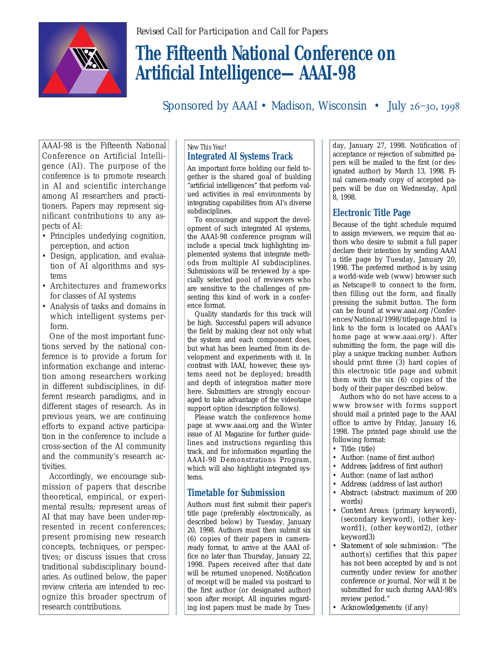

# **The Fifteenth National Conference on Artificial Intelligence—AAAI-98**

Sponsored by AAAI • Madison, Wisconsin • July  $26 - 30$ , 1998

AAAI-98 is the Fifteenth National Conference on Artificial Intelligence (AI). The purpose of the conference is to promote research in AI and scientific interchange among AI researchers and practitioners. Papers may represent significant contributions to any aspects of AI:

- Principles underlying cognition, perception, and action
- Design, application, and evaluation of AI algorithms and systems
- Architectures and frameworks for classes of AI systems
- Analysis of tasks and domains in which intelligent systems perform.

One of the most important functions served by the national conference is to provide a forum for information exchange and interaction among researchers working in different subdisciplines, in different research paradigms, and in different stages of research. As in previous years, we are continuing efforts to expand active participation in the conference to include a cross-section of the AI community and the community's research activities.

Accordingly, we encourage submission of papers that describe theoretical, empirical, or experimental results; represent areas of AI that may have been under-represented in recent conferences; present promising new research concepts, techniques, or perspectives; or discuss issues that cross traditional subdisciplinary boundaries. As outlined below, the paper review criteria are intended to recognize this broader spectrum of research contributions.

#### *New This Year!* **Integrated AI Systems Track**

An important force holding our field together is the shared goal of building "artificial intelligences" that perform valued activities in real environments by integrating capabilities from AI's diverse subdisciplines.

To encourage and support the development of such integrated AI systems, the AAAI-98 conference program will include a special track highlighting implemented systems that integrate methods from multiple AI subdisciplines. Submissions will be reviewed by a specially selected pool of reviewers who are sensitive to the challenges of presenting this kind of work in a conference format.

Quality standards for this track will be high. Successful papers will advance the field by making clear not only what the system and each component does, but what has been learned from its development and experiments with it. In contrast with IAAI, however, these systems need not be deployed; breadth and depth of integration matter more here. Submitters are strongly encouraged to take advantage of the videotape support option (description follows).

Please watch the conference home page at www.aaai.org and the Winter issue of AI Magazine for further guidelines and instructions regarding this track, and for information regarding the AAAI-98 Demonstrations Program, which will also highlight integrated systems.

## **Timetable for Submission**

Authors must first submit their paper's title page (preferably electronically, as described below) by Tuesday, January 20, 1998. Authors must then submit six (6) copies of their papers in cameraready format, to arrive at the AAAI office no later than Thursday, January 22, 1998. Papers received after that date will be returned unopened. Notification of receipt will be mailed via postcard to the first author (or designated author) soon after receipt. All inquiries regarding lost papers must be made by Tues-

day, January 27, 1998. Notification of acceptance or rejection of submitted papers will be mailed to the first (or designated author) by March 13, 1998. Final camera-ready copy of accepted papers will be due on Wednesday, April 8, 1998.

## **Electronic Title Page**

Because of the tight schedule required to assign reviewers, we require that authors who desire to submit a full paper declare their intention by sending AAAI a title page by Tuesday, January 20, 1998. The preferred method is by using a world-wide web (www) browser such as Netscape® to connect to the form, then filling out the form, and finally pressing the submit button. The form can be found at www.aaai.org /Conferences/National/1998/titlepage.html (a link to the form is located on AAAI's home page at www.aaai.org/). After submitting the form, the page will display a unique tracking number. Authors should print three (3) hard copies of this electronic title page and submit them with the six (6) copies of the body of their paper described below.

Authors who do not have access to a www browser with forms support should mail a printed page to the AAAI office to arrive by Friday, January 16, 1998. The printed page should use the following format:

- *Title:* (title)
- *Author:* (name of first author)
- *Address:* [address of first author]
- *Author:* (name of last author)
- *Address:* (address of last author)
- *Abstract:* (abstract: maximum of 200 words)
- *Content Areas:* (primary keyword), (secondary keyword), (other keyword1), (other keyword2), (other keyword3)
- *Statement of sole submission:* "The author(s) certifies that this paper has not been accepted by and is not currently under review for another conference or journal. Nor will it be submitted for such during AAAI-98's review period."
- *Acknowledgements:* (if any)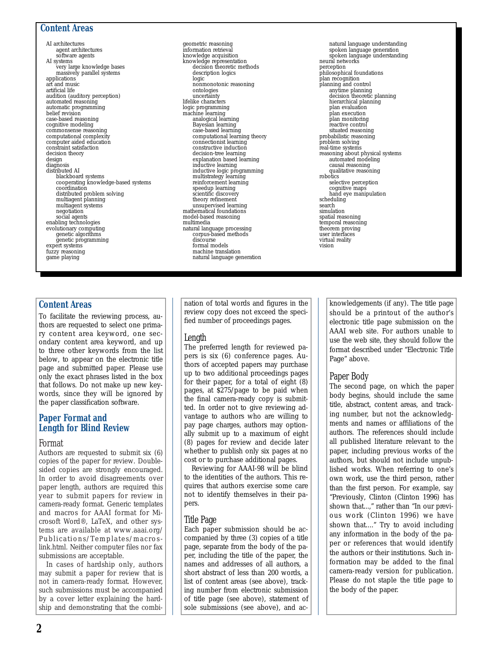#### **Content Areas**

AI architectures agent architectures software agents AI systems very large knowledge bases massively parallel systems applications art and music artificial life audition (auditory perception) automated reasoning automatic programming belief revision case-based reasoning cognitive modeling commonsense reasoning computational complexity computer aided education constraint satisfaction decision theory design diagnosis distributed AI blackboard systems cooperating knowledge-based systems coordination distributed problem solving multiagent planning multiagent systems negotiation social agents enabling technologies evolutionary computing genetic algorithms genetic programming expert systems fuzzy reasoning game playing

geometric reasoning information retrieval knowledge acquisition knowledge representation decision theoretic methods description logics logic nonmonotonic reasoning ontologies uncertainty lifelike characters logic programming machine learning analogical learning Bayesian learning case-based learning computational learning theory connectionist learning constructive induction decision-tree learning explanation based learning inductive learning inductive logic programming multistrategy learning reinforcement learning speedup learning scientific discovery theory refinement unsupervised learning mathematical foundations model-based reasoning multimedia natural language processing corpus-based methods discourse formal models machine translation natural language generation

#### natural language understanding spoken language generation spoken language understanding neural networks perception philosophical foundations plan recognition planning and control anytime planning decision theoretic planning hierarchical planning plan evaluation plan execution plan monitoring reactive control situated reasoning probabilistic reasoning problem solving real-time systems reasoning about physical systems automated modeling causal reasoning qualitative reasoning robotics selective perception cognitive maps hand eye manipulation scheduling search simulation spatial reasoning temporal reasoning theorem proving user interfaces virtual reality vision

## **Content Areas**

To facilitate the reviewing process, authors are requested to select one primary content area keyword, one secondary content area keyword, and up to three other keywords from the list below, to appear on the electronic title page and submitted paper. Please use only the exact phrases listed in the box that follows. Do not make up new keywords, since they will be ignored by the paper classification software.

#### **Paper Format and Length for Blind Review**

#### Format

Authors are requested to submit six (6) copies of the paper for review. Doublesided copies are strongly encouraged. In order to avoid disagreements over paper length, authors are required this year to submit papers for review in camera-ready format. Generic templates and macros for AAAI format for Microsoft Word®, LaTeX, and other systems are available at www.aaai.org/ Publications/Templates/macroslink.html. Neither computer files nor fax submissions are acceptable.

In cases of hardship only, authors may submit a paper for review that is not in camera-ready format. However, such submissions must be accompanied by a cover letter explaining the hardship and demonstrating that the combi-

nation of total words and figures in the review copy does not exceed the specified number of proceedings pages.

#### Length

The preferred length for reviewed papers is six (6) conference pages. Authors of accepted papers may purchase up to two additional proceedings pages for their paper, for a total of eight (8) pages, at \$275/page to be paid when the final camera-ready copy is submitted. In order not to give reviewing advantage to authors who are willing to pay page charges, authors may optionally submit up to a maximum of eight (8) pages for review and decide later whether to publish only six pages at no cost or to purchase additional pages.

Reviewing for AAAI-98 will be blind to the identities of the authors. This requires that authors exercise some care not to identify themselves in their papers.

#### Title Page

Each paper submission should be accompanied by three (3) copies of a title page, separate from the body of the paper, including the title of the paper, the names and addresses of all authors, a short abstract of less than 200 words, a list of content areas (see above), tracking number from electronic submission of title page (see above), statement of sole submissions (see above), and ac-

knowledgements (if any). The title page should be a printout of the author's electronic title page submission on the AAAI web site. For authors unable to use the web site, they should follow the format described under "Electronic Title Page" above.

#### Paper Body

The second page, on which the paper body begins, should include the same title, abstract, content areas, and tracking number, but not the acknowledgments and names or affiliations of the authors. The references should include all published literature relevant to the paper, including previous works of the authors, but should not include unpublished works. When referring to one's own work, use the third person, rather than the first person. For example, say "Previously, Clinton (Clinton 1996) has shown that...," rather than "In our previous work (Clinton 1996) we have shown that...." Try to avoid including any information in the body of the paper or references that would identify the authors or their institutions. Such information may be added to the final camera-ready version for publication. Please do not staple the title page to the body of the paper.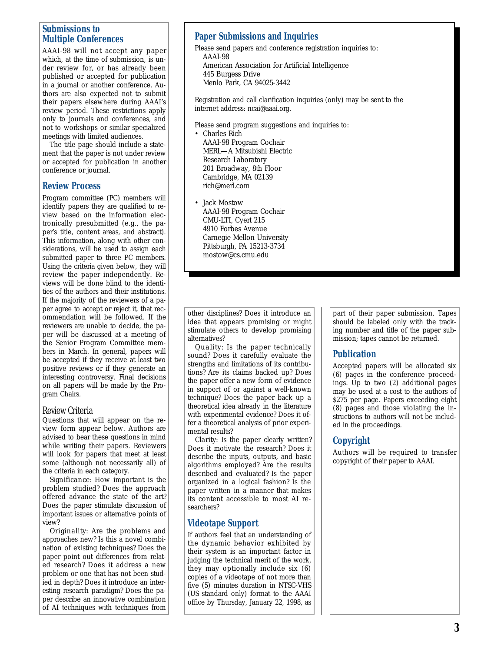#### **Submissions to Multiple Conferences**

AAAI-98 will not accept any paper which, at the time of submission, is under review for, or has already been published or accepted for publication in a journal or another conference. Authors are also expected not to submit their papers elsewhere during AAAI's review period. These restrictions apply only to journals and conferences, and not to workshops or similar specialized meetings with limited audiences.

The title page should include a statement that the paper is not under review or accepted for publication in another conference or journal.

#### **Review Process**

Program committee (PC) members will identify papers they are qualified to review based on the information electronically presubmitted (e.g., the paper's title, content areas, and abstract). This information, along with other considerations, will be used to assign each submitted paper to three PC members. Using the criteria given below, they will review the paper independently. Reviews will be done blind to the identities of the authors and their institutions. If the majority of the reviewers of a paper agree to accept or reject it, that recommendation will be followed. If the reviewers are unable to decide, the paper will be discussed at a meeting of the Senior Program Committee members in March. In general, papers will be accepted if they receive at least two positive reviews or if they generate an interesting controversy. Final decisions on all papers will be made by the Program Chairs.

#### Review Criteria

Questions that will appear on the review form appear below. Authors are advised to bear these questions in mind while writing their papers. Reviewers will look for papers that meet at least some (although not necessarily all) of the criteria in each category.

*Significance:* How important is the problem studied? Does the approach offered advance the state of the art? Does the paper stimulate discussion of important issues or alternative points of view?

*Originality:* Are the problems and approaches new? Is this a novel combination of existing techniques? Does the paper point out differences from related research? Does it address a new problem or one that has not been studied in depth? Does it introduce an interesting research paradigm? Does the paper describe an innovative combination of AI techniques with techniques from

#### **Paper Submissions and Inquiries**

Please send papers and conference registration inquiries to: AAAI-98 American Association for Artificial Intelligence 445 Burgess Drive Menlo Park, CA 94025-3442

Registration and call clarification inquiries (only) may be sent to the internet address: ncai@aaai.org.

Please send program suggestions and inquiries to:

- Charles Rich AAAI-98 Program Cochair MERL—A Mitsubishi Electric Research Laboratory 201 Broadway, 8th Floor Cambridge, MA 02139 rich@merl.com
- Jack Mostow AAAI-98 Program Cochair CMU-LTI, Cyert 215 4910 Forbes Avenue Carnegie Mellon University Pittsburgh, PA 15213-3734 mostow@cs.cmu.edu

other disciplines? Does it introduce an idea that appears promising or might stimulate others to develop promising alternatives?

*Quality:* Is the paper technically sound? Does it carefully evaluate the strengths and limitations of its contributions? Are its claims backed up? Does the paper offer a new form of evidence in support of or against a well-known technique? Does the paper back up a theoretical idea already in the literature with experimental evidence? Does it offer a theoretical analysis of prior experimental results?

*Clarity:* Is the paper clearly written? Does it motivate the research? Does it describe the inputs, outputs, and basic algorithms employed? Are the results described and evaluated? Is the paper organized in a logical fashion? Is the paper written in a manner that makes its content accessible to most AI researchers?

## **Videotape Support**

If authors feel that an understanding of the dynamic behavior exhibited by their system is an important factor in judging the technical merit of the work, they may optionally include six (6) copies of a videotape of not more than five (5) minutes duration in NTSC-VHS (US standard only) format to the AAAI office by Thursday, January 22, 1998, as

part of their paper submission. Tapes should be labeled only with the tracking number and title of the paper submission; tapes cannot be returned.

#### **Publication**

Accepted papers will be allocated six (6) pages in the conference proceedings. Up to two (2) additional pages may be used at a cost to the authors of \$275 per page. Papers exceeding eight (8) pages and those violating the instructions to authors will not be included in the proceedings.

## **Copyright**

Authors will be required to transfer copyright of their paper to AAAI.